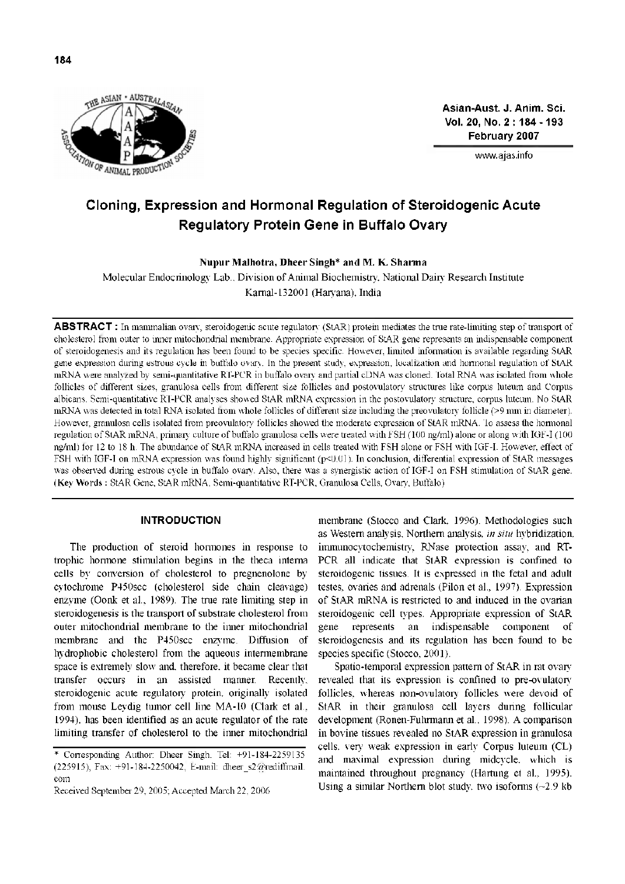

**Asian-Aust. J. Anim. Sci. Vol. 20, No. 2 : 184 - 193 February 2007**

[www.ajas.info](http://www.ajas.info)

# **Cloning, Expression and Hormonal Regulation of Steroidogenic Acute Regulatory Protein Gene in Buffalo Ovary**

**Nupur Malhotra, Dheer Singh**[\\*](#page-0-0) **and M. K. Sharma**

Molecular Endocrinology Lab., Division of Animal Biochemistry, National Dairy Research Institute Karnal-132001 (Haryana), India

ABSTRACT : In mammalian ovary, steroidogenic acute regulatory (StAR) protein mediates the true rate-limiting step of transport of cholesterol from outer to inner mitochondrial membrane. Appropriate expression of StAR gene represents an indispensable component of steroidogenesis and its regulation has been found to be species specific. However, limited information is available regarding StAR gene expression during estrous cycle in buffalo ovary. In the present study, expression, localization and hormonal regulation of StAR mRNA were analyzed by semi-quantitative RT-PCR in buffalo ovary and partial cDNA was cloned. Total RNA was isolated from whole follicles of different sizes, granulosa cells from different size follicles and postovulatory structures like corpus luteum and Corpus albicans. Semi-quantitative RT-PCR analyses showed StAR mRNA expression in the postovulatory structure, corpus luteum. No StAR mRNA was detected in total RNA isolated from whole follicles of different size including the preovulatory follicle (>9 mm in diameter). However, granulosa cells isolated from preovulatory follicles showed the moderate expression of StAR mRNA. To assess the hormonal regulation of StAR mRNA, primary culture of buffalo granulosa cells were treated with FSH (100 ng/ml) alone or along with IGF-I (100 ng/ml) for 12 to 18 h. The abundance of StAR mRNA increased in cells treated with FSH alone or FSH with IGF-I. However, effect of FSH with IGF-I on mRNA expression was found highly significant (p<0.01). In conclusion, differential expression of StAR messages was observed during estrous cycle in buffalo ovary. Also, there was a synergistic action of IGF-I on FSH stimulation of StAR gene. (**Key Words :** StAR Gene, StAR mRNA, Semi-quantitative RT-PCR, Granulosa Cells, Ovary, Buffalo)

### **INTRODUCTION**

The production of steroid hormones in response to trophic hormone stimulation begins in the theca interna cells by conversion of cholesterol to pregnenolone by cytochrome P450scc (cholesterol side chain cleavage) enzyme (Oonk et al., 1989). The true rate limiting step in steroidogenesis is the transport of substrate cholesterol from outer mitochondrial membrane to the inner mitochondrial membrane and the P450scc enzyme. Diffusion of hydrophobic cholesterol from the aqueous intermembrane space is extremely slow and, therefore, it became clear that transfer occurs in an assisted manner. Recently, steroidogenic acute regulatory protein, originally isolated from mouse Leydig tumor cell line MA-10 (Clark et al., 1994), has been identified as an acute regulator of the rate limiting transfer of cholesterol to the inner mitochondrial

membrane (Stocco and Clark, 1996). Methodologies such as Western analysis, Northern analysis, *in situ* hybridization, immunocytochemistry, RNase protection assay, and RT-PCR all indicate that StAR expression is confined to steroidogenic tissues. It is expressed in the fetal and adult testes, ovaries and adrenals (Pilon et al., 1997). Expression of StAR mRNA is restricted to and induced in the ovarian steroidogenic cell types. Appropriate expression of StAR gene represents an indispensable component of steroidogenesis and its regulation has been found to be species specific (Stocco, 2001).

Spatio-temporal expression pattern of StAR in rat ovary revealed that its expression is confined to pre-ovulatory follicles, whereas non-ovulatory follicles were devoid of StAR in their granulosa cell layers during follicular development (Ronen-Fuhrmann et al., 1998). A comparison in bovine tissues revealed no StAR expression in granulosa cells, very weak expression in early Corpus luteum (CL) and maximal expression during midcycle, which is maintained throughout pregnancy (Hartung et al., 1995). Using a similar Northern blot study, two isoforms (〜2.9 kb

<span id="page-0-0"></span><sup>\*</sup> Corresponding Author: Dheer Singh. Tel: +91-184-2259135 (225915), Fax: +91-184-2250042, E-mail: dheer\_s2@rediffmail. com

Received September 29, 2005; Accepted March 22, 2006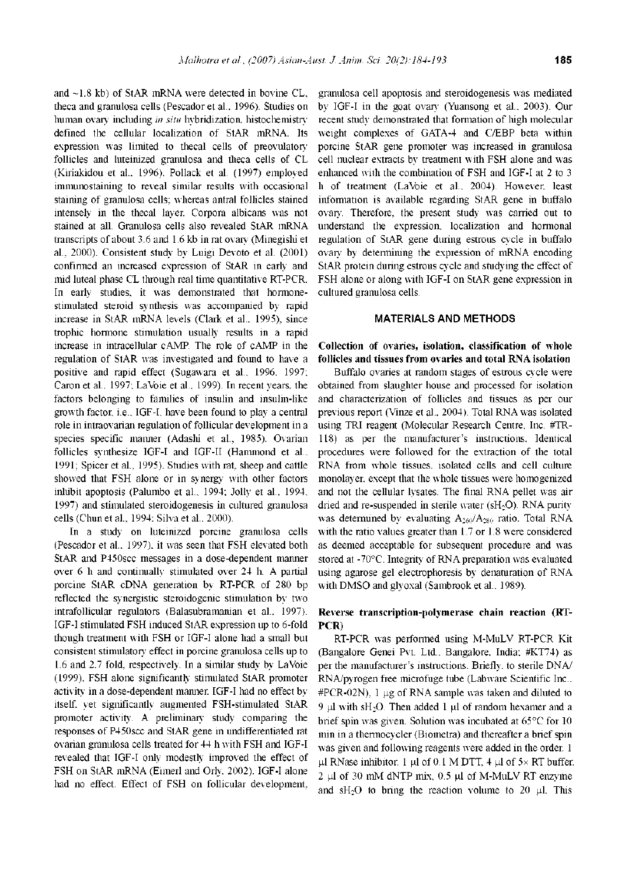and 〜1.8 kb) of StAR mRNA were detected in bovine CL, theca and granulosa cells (Pescador et al., 1996). Studies on human ovary including *in situ* hybridization, histochemistry defined the cellular localization of StAR mRNA. Its expression was limited to thecal cells of preovulatory follicles and luteinized granulosa and theca cells of CL (Kiriakidou et al., 1996). Pollack et al. (1997) employed immunostaining to reveal similar results with occasional staining of granulosa cells; whereas antral follicles stained intensely in the thecal layer. Corpora albicans was not stained at all. Granulosa cells also revealed StAR mRNA transcripts of about 3.6 and 1.6 kb in rat ovary (Minegishi et al., 2000). Consistent study by Luigi Devoto et al. (2001) confirmed an increased expression of StAR in early and mid luteal phase CL through real time quantitative RT-PCR. In early studies, it was demonstrated that hormonestimulated steroid synthesis was accompanied by rapid increase in StAR mRNA levels (Clark et al., 1995), since trophic hormone stimulation usually results in a rapid increase in intracellular cAMP. The role of cAMP in the regulation of StAR was investigated and found to have a positive and rapid effect (Sugawara et al., 1996, 1997; Caron et al., 1997; LaVbie et al., 1999). In recent years, the factors belonging to families of insulin and insulin-like growth factor, i.e., IGF-I, have been found to play a central role in intraovarian regulation of follicular development in a species specific manner (Adashi et al., 1985). Ovarian follicles synthesize IGF-I and IGF-II (Hammond et al., 1991; Spicer et al., 1995). Studies with rat, sheep and cattle showed that FSH alone or in synergy with other factors inhibit apoptosis (Palumbo et al., 1994; Jolly et al., 1994, 1997) and stimulated steroidogenesis in cultured granulosa cells (Chun et al., 1994; Silva et al., 2000).

In a study on luteinized porcine granulosa cells (Pescador et al., 1997), it was seen that FSH elevated both StAR and P450scc messages in a dose-dependent manner over 6 h and continually stimulated over 24 h. A partial porcine StAR cDNA generation by RT-PCR of 280 bp reflected the synergistic steroidogenic stimulation by two intrafollicular regulators (Balasubramanian et al., 1997). IGF-I stimulated FSH induced StAR expression up to 6-fold though treatment with FSH or IGF-I alone had a small but consistent stimulatory effect in porcine granulosa cells up to 1.6 and 2.7 fold, respectively. In a similar study by LaVbie (1999), FSH alone significantly stimulated StAR promoter activity in a dose-dependent manner. IGF-I had no effect by itself, yet significantly augmented FSH-stimulated StAR promoter activity. A preliminary study comparing the responses of P450scc and StAR gene in undifferentiated rat ovarian granulosa cells treated for 44 h with FSH and IGF-I revealed that IGF-I only modestly improved the effect of FSH on StAR mRNA (Eimerl and Orly, 2002). IGF-I alone had no effect. Effect of FSH on follicular development, granulosa cell apoptosis and steroidogenesis was mediated by IGF-I in the goat ovary (Yuansong et al., 2003). Our recent study demonstrated that formation of high molecular weight complexes of GATA-4 and C/EBP beta within porcine StAR gene promoter was increased in granulosa cell nuclear extracts by treatment with FSH alone and was enhanced with the combination of FSH and IGF-I at 2 to <sup>3</sup> h of treatment (LaVbie et al., 2004). However, least information is available regarding StAR gene in buffalo ovary. Therefore, the present study was carried out to understand the expression, localization and hormonal regulation of StAR gene during estrous cycle in buffalo ovary by determining the expression of mRNA encoding StAR protein during estrous cycle and studying the effect of FSH alone or along with IGF-I on StAR gene expression in cultured granulosa cells.

## **MATERIALS AND METHODS**

**C lection of ovaries, is ation, classification of wh e follicles and tissues from ovaries and total RNA isolation**

Buffalo ovaries at random stages of estrous cycle were obtained from slaughter house and processed for isolation and characterization of follicles and tissues as per our previous report (Vinze et al., 2004). Total RNA was isolated using TRI reagent (Molecular Research Centre, Inc. #TR-118) as per the manufacturer's instructions. Identical procedures were followed for the extraction of the total RNA from whole tissues, isolated cells and cell culture monolayer, except that the whole tissues were homogenized and not the cellular lysates. The final RNA pellet was air dried and re-suspended in sterile water (sH<sub>2</sub>O). RNA purity was determined by evaluating  $A_{260}/A_{280}$  ratio. Total RNA with the ratio values greater than 1.7 or 1.8 were considered as deemed acceptable for subsequent procedure and was stored at -70°C. Integrity of RNA preparation was evaluated using agarose gel electrophoresis by denaturation of RNA with DMSO and glyoxal (Sambrook et al., 1989).

## **Reverse transcription-polymerase chain reaction (RT-PCR)**

RT-PCR was performed using M-MuLV RT-PCR Kit (Bangalore Genei Pvt. Ltd., Bangalore, India; #KT74) as per the manufacturer's instructions. Briefly, to sterile DNA/ RNA/pyrogen free microfuge tube (Labware Scientific Inc.,  $\#PCR-02N$ , 1 µg of RNA sample was taken and diluted to 9  $\mu$ l with sH<sub>2</sub>O. Then added 1  $\mu$ l of random hexamer and a brief spin was given. Solution was incubated at 65°C for 10 min in a thermocycler (Biometra) and thereafter a brief spin was given and following reagents were added in the order. <sup>1</sup>  $\mu$ l RNase inhibitor, 1  $\mu$ l of 0.1 M DTT, 4  $\mu$ l of 5x RT buffer,  $2 \mu$ l of 30 mM dNTP mix, 0.5  $\mu$ l of M-MuLV RT enzyme and sH<sub>2</sub>O to bring the reaction volume to 20  $\mu$ l. This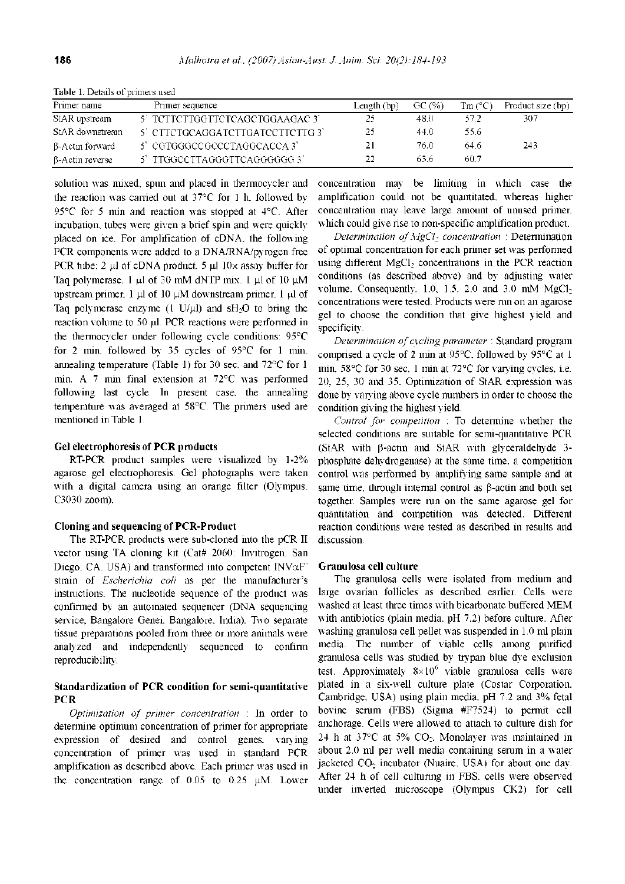| Primer name            | Primer sequence                | Length $(bp)$ | GC (%) | $\text{Im}(^{\circ}\text{C})$ | Product size (bp) |
|------------------------|--------------------------------|---------------|--------|-------------------------------|-------------------|
| StAR upstream          | 5 TCTTCTTGGTTCTCAGCTGGAAGAC 3  | 25            | 48.0   | 572.                          | 307               |
| StAR downstream        | 5 CITCTGCAGGATCTTGATCCTTCTTG 3 | 25            | 44.0   | 55.6                          |                   |
| <b>B-Actin forward</b> | 5' CGTGGGCCGCCCTAGGCACCA 3'    | 21            | 76.0.  | -64.6                         | 243               |
| $\beta$ -Actin reverse | 5' TTGGCCTTAGGGTTCAGGGGGG 3'   | 22            | 63.6   | -60.7                         |                   |

**Table 1.** Details of primers used

solution was mixed, spun and placed in thermocycler and the reaction was carried out at 37°C for <sup>1</sup> h, followed by 95°C for 5 min and reaction was stopped at 4°C. After incubation, tubes were given a brief spin and were quickly placed on ice. For amplification of cDNA, the following PCR components were added to a DNA/RNA/pyrogen free PCR tube: 2  $\mu$ l of cDNA product, 5  $\mu$ l 10x assay buffer for Taq polymerase, 1  $\mu$ l of 30 mM dNTP mix, 1  $\mu$ l of 10  $\mu$ M upstream primer,  $1 \mu$ l of 10  $\mu$ M downstream primer, 1  $\mu$ l of Taq polymerase enzyme  $(1 \text{ U}/\mu\text{l})$  and sH $\text{-}$ O to bring the reaction volume to 50 µl. PCR reactions were performed in the thermocycler under following cycle conditions: 95°C for 2 min, followed by 35 cycles of 95°C for <sup>1</sup> min, annealing temperature (Table 1) for 30 sec, and 72°C for <sup>1</sup> min. A 7 min final extension at 72°C was performed following last cycle. In present case, the annealing temperature was averaged at 58°C. The primers used are mentioned in Table 1.

#### **G electrophoresis of PCR products**

RT-PCR product samples were visualized by 1-2% agarose gel electrophoresis. Gel photographs were taken with a digital camera using an orange filter (Olympus, C3030 zoom).

#### **Cloning and sequencing ofPCR-Product**

The RT-PCR products were sub-cloned into the pCR II vector using TA cloning kit (Cat# 2060; Invitrogen, San Diego, CA, USA) and transformed into competent  $INV $\alpha$ F'$ strain of *Escherichia coli* as per the manufacturer's instructions. The nucleotide sequence of the product was confirmed by an automated sequencer (DNA sequencing service, Bangalore Genei, Bangalore, India). Two separate tissue preparations pooled from three or more animals were analyzed and independently sequenced to confirm reproducibility.

# **Standardization of PCR condition for semi-quantitative PCR**

*Optimization of primer concentration* : In order to determine optimum concentration of primer for appropriate expression of desired and control genes, varying concentration of primer was used in standard PCR amplification as described above. Each primer was used in the concentration range of  $0.05$  to  $0.25$   $\mu$ M. Lower concentration may be limiting in which case the amplification could not be quantitated, whereas higher concentration may leave large amount of unused primer, which could give rise to non-specific amplification product.

*Determination ofMgCl<sup>2</sup> concentration* : Determination of optimal concentration for each primer set was performed using different MgCl<sub>2</sub> concentrations in the PCR reaction conditions (as described above) and by adjusting water volume. Consequently,  $1.0$ ,  $1.5$ ,  $2.0$  and  $3.0$  mM MgCl<sub>2</sub> concentrations were tested. Products were run on an agarose gel to choose the condition that give highest yield and specificity.

*Determination ofcycling parameter* : Standard program comprised a cycle of 2 min at 95°C, followed by 95°C at <sup>1</sup> min, 58°C for 30 sec, <sup>1</sup> min at 72°C for varying cycles, i.e. 20, 25, 30 and 35. Optimization of StAR expression was done by varying above cycle numbers in order to choose the condition giving the highest yield.

*Control for competition* : To determine whether the selected conditions are suitable for semi-quantitative PCR (StAR with  $\beta$ -actin and StAR with glyceraldehyde 3phosphate dehydrogenase) at the same time, a competition control was performed by amplifying same sample and at same time, through internal control as  $\beta$ -actin and both set together. Samples were run on the same agarose gel for quantitation and competition was detected. Different reaction conditions were tested as described in results and discussion.

## **Granulosa cell culture**

The granulosa cells were isolated from medium and large ovarian follicles as described earlier. Cells were washed at least three times with bicarbonate buffered MEM with antibiotics (plain media, pH 7.2) before culture. After washing granulosa cell pellet was suspended in 1.0 ml plain media. The number of viable cells among purified granulosa cells was studied by trypan blue dye exclusion test. Approximately  $8 \times 10^6$  viable granulosa cells were plated in a six-well culture plate (Costar Corporation, Cambridge, USA) using plain media, pH 7.2 and 3% fetal bovine serum (FBS) (Sigma #F7524) to permit cell anchorage. Cells were allowed to attach to culture dish for 24 h at  $37^{\circ}$ C at  $5\%$  CO<sub>2</sub>. Monolayer was maintained in about 2.0 ml per well media containing serum in a water jacketed CO<sub>2</sub> incubator (Nuaire, USA) for about one day. After 24 h of cell culturing in FBS, cells were observed under inverted microscope (Olympus CK2) for cell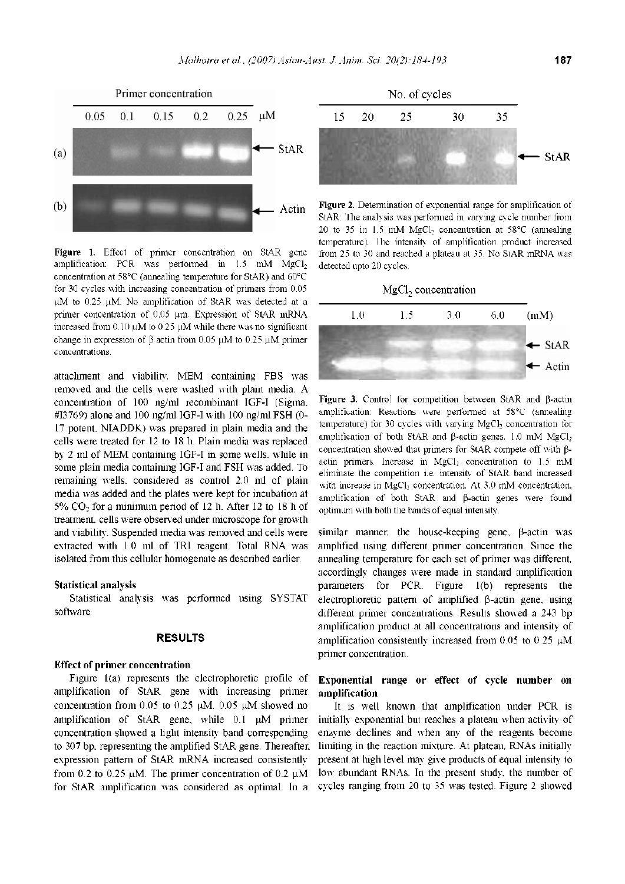

**Figure 1.** Effect of primer concentration on StAR gene amplification: PCR was performed in  $1.5$  mM MgCl<sub>2</sub> concentration at 58°C (annealing temperature for StAR) and 60°C for 30 cycles with increasing concentration of primers from 0.05  $\mu$ M to 0.25  $\mu$ M. No amplification of StAR was detected at a primer concentration of 0.05 um. Expression of StAR mRNA increased from 0.10  $\mu$ M to 0.25  $\mu$ M while there was no significant change in expression of  $\beta$  actin from 0.05  $\mu$ M to 0.25  $\mu$ M primer concentrations.

attachment and viability. MEM containing FBS was removed and the cells were washed with plain media. A concentration of 100 ng/ml recombinant IGF-I (Sigma, #I3769) alone and 100 ng/ml IGF-I with 100 ng/ml FSH (0- 17 potent, NIADDK) was prepared in plain media and the cells were treated for 12 to 18 h. Plain media was replaced by 2 ml of MEM containing IGF-I in some wells, while in some plain media containing IGF-I and FSH was added. To remaining wells, considered as control 2.0 ml of plain media was added and the plates were kept for incubation at  $5\%$  CO<sub>2</sub> for a minimum period of 12 h. After 12 to 18 h of treatment, cells were observed under microscope for growth and viability. Suspended media was removed and cells were extracted with 1.0 ml of TRI reagent. Total RNA was isolated from this cellular homogenate as described earlier.

#### **Statistical analysis**

Statistical analysis was performed using SYSTAT software.

# **RESULTS**

## **Effect of primer concentration**

Figure 1(a) represents the electrophoretic profile of amplification of StAR gene with increasing primer concentration from 0.05 to 0.25  $\mu$ M. 0.05  $\mu$ M showed no amplification of StAR gene, while  $0.1$   $\mu$ M primer concentration showed a light intensity band corresponding to 307 bp, representing the amplified StAR gene. Thereafter, expression pattern of StAR mRNA increased consistently from 0.2 to 0.25  $\mu$ M. The primer concentration of 0.2  $\mu$ M for StAR amplification was considered as optimal. In a



**Figure 2.** Determination of exponential range for amplification of StAR: The analysis was performed in varying cycle number from 20 to 35 in 1.5 mM MgCl**<sup>2</sup>** concentration at 58°C (annealing temperature). The intensity of amplification product increased from 25 to 30 and reached a plateau at 35. No StAR mRNA was detected upto 20 cycles.



Figure 3. Control for competition between StAR and  $\beta$ -actin amplification: Reactions were performed at 58°C (annealing temperature) for 30 cycles with varying MgCl<sub>2</sub> concentration for amplification of both StAR and  $\beta$ -actin genes. 1.0 mM MgCl<sub>2</sub> concentration showed that primers for StAR compete off with  $\beta$ actin primers. Increase in MgCl<sub>2</sub> concentration to 1.5 mM eliminate the competition i.e. intensity of StAR band increased with increase in MgCl<sub>2</sub> concentration. At 3.0 mM concentration, amplification of both StAR and  $\beta$ -actin genes were found optimum with both the bands of equal intensity.

similar manner, the house-keeping gene,  $\beta$ -actin was amplified using different primer concentration. Since the annealing temperature for each set of primer was different, accordingly changes were made in standard amplification parameters for PCR. Figure 1(b) represents the electrophoretic pattern of amplified  $\beta$ -actin gene, using different primer concentrations. Results showed a 243 bp amplification product at all concentrations and intensity of amplification consistently increased from 0.05 to 0.25  $\mu$ M primer concentration.

## **Exponential range or effect of cycle number on amplification**

It is well known that amplification under PCR is initially exponential but reaches a plateau when activity of enzyme declines and when any of the reagents become limiting in the reaction mixture. At plateau, RNAs initially present at high level may give products of equal intensity to low abundant RNAs. In the present study, the number of cycles ranging from 20 to 35 was tested. Figure 2 showed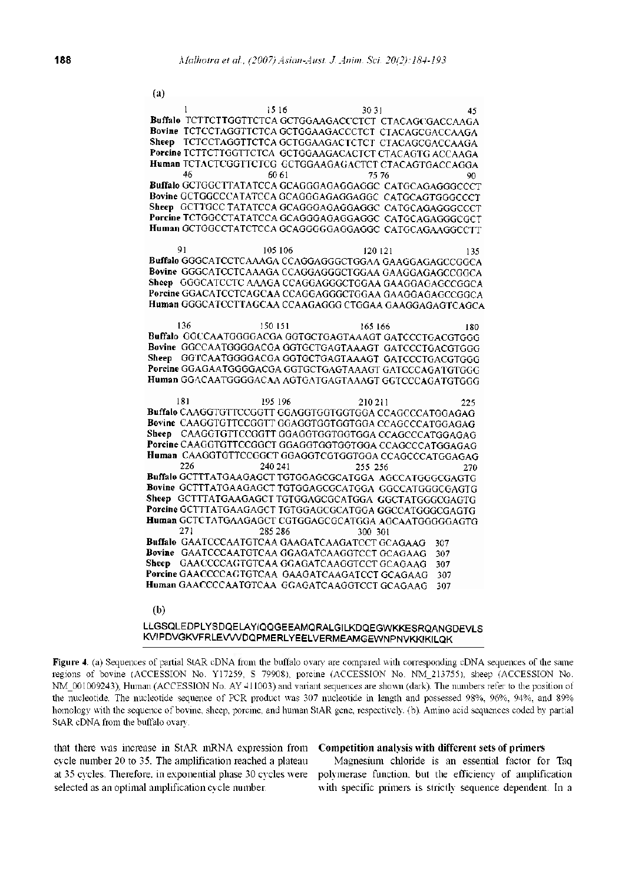(a) 45 1  $1516$  30 31 **Buffalo** TCTTCTTGGTTCTCA GCTGGAAGACCCTCT CTACAGCGACCAAGA **Bovine** TCTCCTAGGTTCTCA GCTGGAAGACCCTCT CTACAGCGACCAAGA **Sheep** TCTCCTAGGTTCTCA GCTGGAAGACTCTCT CTACAGCGACCAAGA **Porcine** TCTTCTTGGTTCTCA GCTGGAAGACACTCT CTACAGTG ACCAAGA **Human TCTACTCGGTTCTCG GCTGGAAGAGACTCT CTACAGTGACCAGGA**<br>00<br>00 46 60 61 75 76 o٥ **Buffalo** GCTGGCTTATATCCA GCAGGGAGAGGAGGC CATGCAGAGGGCCCT **Bovine** GCTGGCCCATATCCA GCAGGGAGAGGAGGC CATGCAGTGGGCCCT **Sheep GCTTGCC TATATCCA GCAGGGAGAGGAGGC CATGCAGAGGGCCCT Porcine TCTGGCCTATATCCA GCAGGGAGAGGAGGC CATGCAGAGGCCGCT Human** GCTGGCCTATCTCCA GCAGGGGGAGGAGGC CATGCAGAAGGCCTT 91 105 106 120 121 135 Bovine GGGCATCCTCAAAGA CCAGGAGGGCTGGAA GAAGGAGAGCCGGCA Sheep GGGCATCCTC AAAGA CCAGGAGGGCTGGAA GAAGGAGAGCCGGCA Porcine GGACATCCTCAGCAA CCAGGAGGGCTGGAA GAAGGAGAGCCCGCA Human GGGCATCCTTAGCAA CCAAGAGGG CTGGAA GAAGGAGAGTCAGCA 136 150 151 165 166 Buffalo GGCCAATGGGGACGA GGTGCTGAGTAAAGT GATCCCTGACGTGGG Bovine GGCCAATGGGGACGA GGTGCTGAGTAAAGT GATCCCTGACGTGGG Sheep GGTCAATGGGGACGA GGTGCTGAGTAAAGT GATCCCTGACGTGGG Porcine GGAGAATGGGGACGA GGTGCTGAGTAAAGT GATCCCAGATGTGGG Human GGACAATGGGGACAA AGTGATGAGTAAAGT GGTCCCAGATGTGGG 181 195 196 225 210211 Buffalo CAAGGTGTTCCGGTT GGAGGTGGTGGTGGA CCAGCCCATGGAGAG Bovine CAAGGTGTTCCGGTTGGAGGTGGTGGTGGA CCAGCCCATGGAGAG Sheep CAAGGTGTTCCGGTTGGAGGTGGTGGTGGACCAGCCCATGGAGAG Porcine CAAGGTGTTCCGGCT GGAGGTGGTGGTGGA CCAGCCCATGGAGAG Human CAAGGTGTTCCGGCT GGAGGTCGTGGTGGA CCAGCCCATGGAGAG 226 240 241 255 256 270 Buffalo GCTTTATGAAGAGCT TGTGGAGCGCATGGA AGCCATGGGCGAGTG Bovine GCTTTATGAAGAGCT TGTGGAGCGCATGGA GGCCATGGGCGAGTG Sheep GCTTTATGAAGAGCT TGTGGAGCGCATGGA GGCTATGGGCGAGTG Porcine GCTTTATGAAGAGCT TGTGGAGCGCATGGA GGCCATGGGCGAGTG Human GCTCTATGAAGAGCT CGTGGAGCGCATGGA AGCAATGGGGGAGTG 271 285 286 300 301 Buffalo GAATCCCAATGTCAA GAAGATCAAGATCCT GCAGAAG 307 Bovine GAATCCCAATGTCAA GGAGATCAAGGTCCT GCAGAAG 307 Sheep GAACCCCAGTGTCAA GGAGATCAAGGTCCT GCAGAAG 307 Porcine GAACCCCAGTGTCAA GAAGATCAAGATCCT GCAGAAG 307 Human GAACCCCAATGTCAA GGAGATCAAGGTCCT GCAGAAG 307

#### $(b)$

## LLGSQLEDPLYSDQELAYIQQGEEAMQRALGILKDQEGWKKESRQANGDEVLS KVIPDVGKVFRLEVVVDQPMERLYEELVERMEAMGEWNPNVKKIKILQK

Figure 4. (a) Sequences of partial StAR cDNA from the buffalo ovary are compared with corresponding cDNA sequences of the same regions of bovine (ACCESSION No. Y17259, S 79908), porcine (ACCESSION No. NM\_213755), sheep (ACCESSION No. NM 001009243), Human (ACCESSION No. AY 411003) and variant sequences are shown (dark). The numbers refer to the position of the nucleotide. The nucleotide sequence of PCR product was 307 nucleotide in length and possessed 98%, 96%, 94%, and 89% homology with the sequence of bovine, sheep, porcine, and human StAR gene, respectively. (b). Amino acid sequences coded by partial StAR cDNA from the buffalo ovary.

that there was increase in StAR mRNA expression from cycle number 20 to 35. The amplification reached a plateau at 35 cycles. Therefore, in exponential phase 30 cycles were selected as an optimal amplification cycle number.

## Competition analysis with different sets of primers

Magnesium chloride is an essential factor for Taq polymerase function, but the efficiency of amplification with specific primers is strictly sequence dependent. In a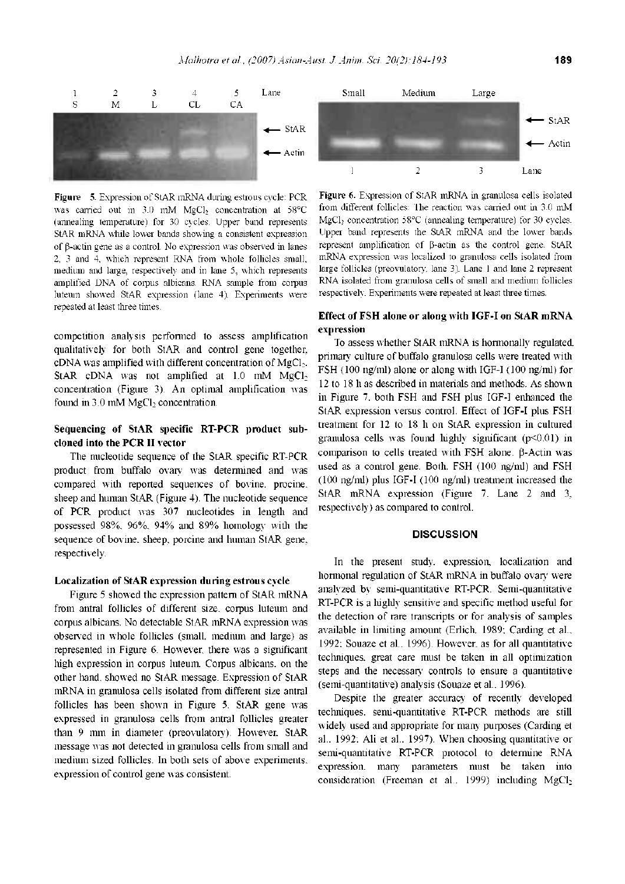

**Figure 5.** Expression of StAR mRNA during estrous cycle: PCR was carried out in 3.0 mM MgCl<sub>2</sub> concentration at 58°C (annealing temperature) for 30 cycles. Upper band represents StAR mRNA while lower bands showing a consistent expression of  $\beta$ -actin gene as a control. No expression was observed in lanes 2, 3 and 4, which represent RNA from whole follicles small, medium and large, respectively and in lane 5, which represents amplified DNA of corpus albicans. RNA sample from corpus luteum showed StAR expression (lane 4). Experiments were repeated at least three times.

competition analysis performed to assess amplification qualitatively for both StAR and control gene together, cDNA was amplified with different concentration of MgCl<sub>2</sub>. StAR cDNA was not amplified at  $1.0$  mM MgCl<sub>2</sub> concentration (Figure 3). An optimal amplification was found in  $3.0 \text{ mM MgCl}_2$  concentration.

# **Sequencing of StAR specific RT-PCR product subcloned into the PCR II vector**

The nucleotide sequence of the StAR specific RT-PCR product from buffalo ovary was determined and was compared with reported sequences of bovine, procine, sheep and human StAR (Figure 4). The nucleotide sequence of PCR product was 307 nucleotides in length and possessed 98%, 96%, 94% and 89% homology with the sequence of bovine, sheep, porcine and human StAR gene, respectively.

#### **Localization of StAR expression during estrous cycle**

Figure 5 showed the expression pattern of StAR mRNA from antral follicles of different size, corpus luteum and corpus albicans. No detectable StAR mRNA expression was observed in whole follicles (small, medium and large) as represented in Figure 6. However, there was a significant high expression in corpus luteum. Corpus albicans, on the other hand, showed no StAR message. Expression of StAR mRNA in granulosa cells isolated from different size antral follicles has been shown in Figure 5. StAR gene was expressed in granulosa cells from antral follicles greater than 9 mm in diameter (preovulatory). However, StAR message was not detected in granulosa cells from small and medium sized follicles. In both sets of above experiments, expression of control gene was consistent.



**Figure 6.** Expression of StAR mRNA in granulosa cells isolated from different follicles: The reaction was carried out in 3.0 mM MgCl**<sup>2</sup>** concentration 58°C (annealing temperature) for 30 cycles. Upper band represents the StAR mRNA and the lower bands represent amplification of p-actin as the control gene. StAR mRNA expression was localized to granulosa cells isolated from large follicles (preovulatory, lane 3). Lane <sup>1</sup> and lane 2 represent RNA isolated from granulosa cells of small and medium follicles respectively. Experiments were repeated at least three times.

# **Effect of FSH alone or along with IGF-I on StAR mRNA expression**

To assess whether StAR mRNA is hormonally regulated, primary culture of buffalo granulosa cells were treated with FSH (100 ng/ml) alone or along with IGF-I (100 ng/ml) for 12 to 18 h as described in materials and methods. As shown in Figure 7, both FSH and FSH plus IGF-I enhanced the StAR expression versus control. Effect of IGF-I plus FSH treatment for 12 to 18 h on StAR expression in cultured granulosa cells was found highly significant (p<0.01) in comparison to cells treated with FSH alone.  $\beta$ -Actin was used as a control gene. Both, FSH (100 ng/ml) and FSH (100 ng/ml) plus IGF-I (100 ng/ml) treatment increased the StAR mRNA expression (Figure 7, Lane 2 and 3, respectively) as compared to control.

#### **DISCUSSION**

In the present study, expression, localization and hormonal regulation of StAR mRNA in buffalo ovary were analyzed by semi-quantitative RT-PCR. Semi-quantitative RT-PCR is a highly sensitive and specific method useful for the detection of rare transcripts or for analysis of samples available in limiting amount (Erlich, 1989; Carding et al., 1992; Souaze et al., 1996). However, as for all quantitative techniques, great care must be taken in all optimization steps and the necessary controls to ensure a quantitative (semi-quantitative) analysis (Souaze et al., 1996).

Despite the greater accuracy of recently developed techniques, semi-quantitative RT-PCR methods are still widely used and appropriate for many purposes (Carding et al., 1992; Ali et al., 1997). When choosing quantitative or semi-quantitative RT-PCR protocol to determine RNA expression, many parameters must be taken into consideration (Freeman et al., 1999) including  $MgCl<sub>2</sub>$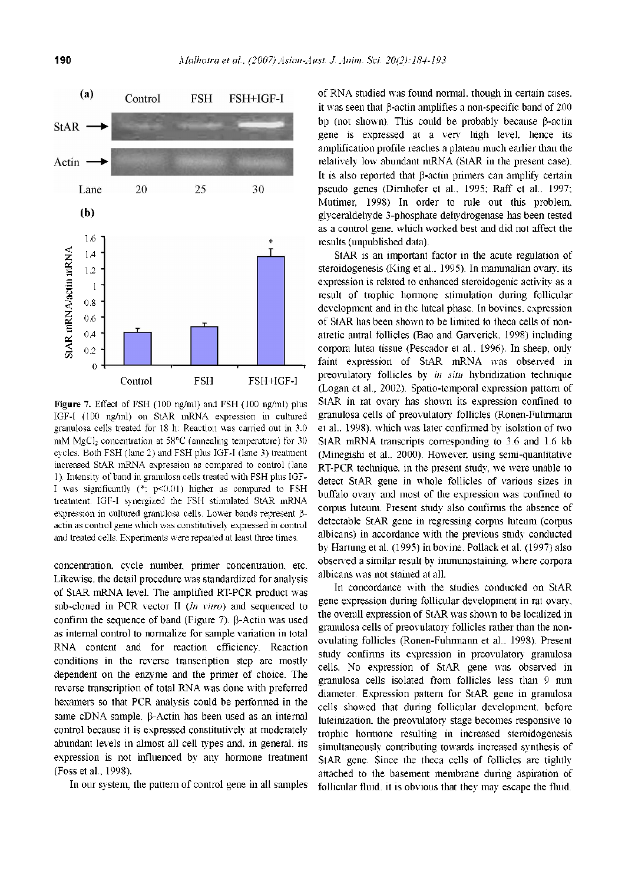

**Figure 7.** Effect of FSH (100 ng/ml) and FSH (100 ng/ml) plus IGF-I (100 ng/ml) on StAR mRNA expression in cultured granulosa cells treated for 18 h: Reaction was carried out in 3.0 mM MgCl<sub>2</sub> concentration at 58°C (annealing temperature) for 30 cycles. Both FSH (lane 2) and FSH plus IGF-I (lane 3) treatment increased StAR mRNA expression as compared to control (lane 1). Intensity of band in granulosa cells treated with FSH plus IGF-I was significantly  $(*; p<0.01)$  higher as compared to FSH treatment. IGF-I synergized the FSH stimulated StAR mRNA expression in cultured granulosa cells. Lower bands represent  $\beta$ actin as control gene which was constitutively expressed in control and treated cells. Experiments were repeated at least three times.

concentration, cycle number, primer concentration, etc. Likewise, the detail procedure was standardized for analysis of StAR mRNA level. The amplified RT-PCR product was sub-cloned in PCR vector II (*In vitro*) and sequenced to confirm the sequence of band (Figure 7).  $\beta$ -Actin was used as internal control to normalize for sample variation in total RNA content and for reaction efficiency. Reaction conditions in the reverse transcription step are mostly dependent on the enzyme and the primer of choice. The reverse transcription of total RNA was done with preferred hexamers so that PCR analysis could be performed in the same cDNA sample.  $\beta$ -Actin has been used as an internal control because it is expressed constitutively at moderately abundant levels in almost all cell types and, in general, its expression is not influenced by any hormone treatment (Foss et al., 1998).

In our system, the pattern of control gene in all samples

of RNA studied was found normal, though in certain cases, it was seen that  $\beta$ -actin amplifies a non-specific band of 200 bp (not shown). This could be probably because  $\beta$ -actin gene is expressed at a very high level, hence its amplification profile reaches a plateau much earlier than the relatively low abundant mRNA (StAR in the present case). It is also reported that  $\beta$ -actin primers can amplify certain pseudo genes (Dirnhofer et al., 1995; Raff et al., 1997; Mutimer, 1998) In order to rule out this problem, glyceraldehyde 3-phosphate dehydrogenase has been tested as a control gene, which worked best and did not affect the results (unpublished data).

StAR is an important factor in the acute regulation of steroidogenesis (King et al., 1995). In mammalian ovary, its expression is related to enhanced steroidogenic activity as a result of trophic hormone stimulation during follicular development and in the luteal phase. In bovines, expression of StAR has been shown to be limited to theca cells of nonatretic antral follicles (Bao and Garverick, 1998) including corpora lutea tissue (Pescador et al., 1996). In sheep, only faint expression of StAR mRNA was observed in preovulatory follicles by *in situ* hybridization technique (Logan et al., 2002). Spatio-temporal expression pattern of StAR in rat ovary has shown its expression confined to granulosa cells of preovulatory follicles (Ronen-Fuhrmann et al., 1998), which was later confirmed by isolation of two StAR mRNA transcripts corresponding to 3.6 and 1.6 kb (Minegishi et al., 2000). However, using semi-quantitative RT-PCR technique, in the present study, we were unable to detect StAR gene in whole follicles of various sizes in buffalo ovary and most of the expression was confined to corpus luteum. Present study also confirms the absence of detectable StAR gene in regressing corpus luteum (corpus albicans) in accordance with the previous study conducted by Hartung et al. (1995) in bovine. Pollack et al. (1997) also observed a similar result by immunostaining, where corpora albicans was not stained at all.

In concordance with the studies conducted on StAR gene expression during follicular development in rat ovary, the overall expression of StAR was shown to be localized in granulosa cells of preovulatory follicles rather than the nonovulating follicles (Ronen-Fuhrmann et al., 1998). Present study confirms its expression in preovulatory granulosa cells. No expression of StAR gene was observed in granulosa cells isolated from follicles less than 9 mm diameter. Expression pattern for StAR gene in granulosa cells showed that during follicular development, before luteinization, the preovulatory stage becomes responsive to trophic hormone resulting in increased steroidogenesis simultaneously contributing towards increased synthesis of StAR gene. Since the theca cells of follicles are tightly attached to the basement membrane during aspiration of follicular fluid, it is obvious that they may escape the fluid.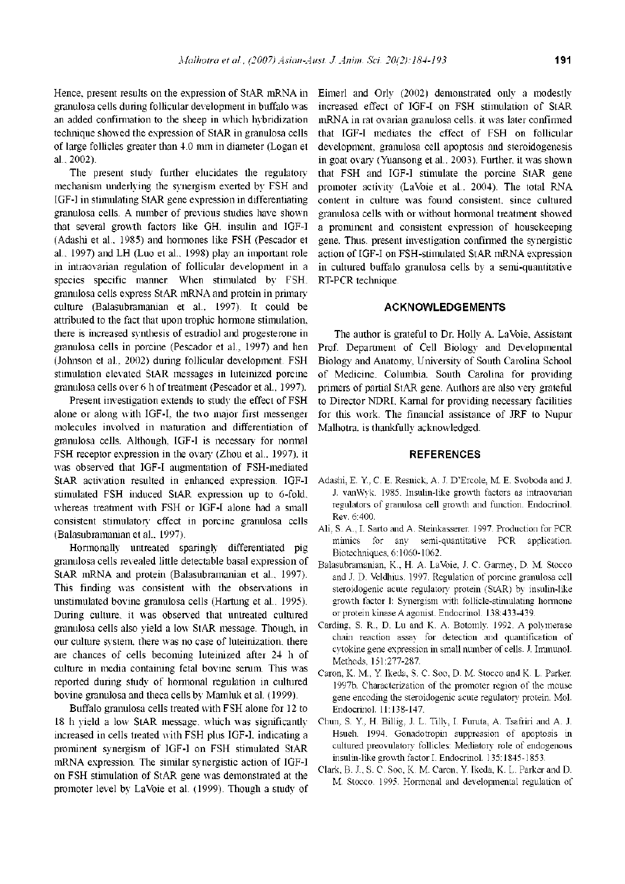Hence, present results on the expression of StAR mRNA in granulosa cells during follicular development in buffalo was an added confirmation to the sheep in which hybridization technique showed the expression of StAR in granulosa cells of large follicles greater than 4.0 mm in diameter (Logan et al., 2002).

The present study further elucidates the regulatory mechanism underlying the synergism exerted by FSH and IGF-I in stimulating StAR gene expression in differentiating granulosa cells. A number of previous studies have shown that several growth factors like GH, insulin and IGF-I (Adashi et al., 1985) and hormones like FSH (Pescador et al., 1997) and LH (Luo et al., 1998) play an important role in intraovarian regulation of follicular development in a species specific manner. When stimulated by FSH, granulosa cells express StAR mRNA and protein in primary culture (Balasubramanian et al., 1997). It could be attributed to the fact that upon trophic hormone stimulation, there is increased synthesis of estradiol and progesterone in granulosa cells in porcine (Pescador et al., 1997) and hen (Johnson et al., 2002) during follicular development. FSH stimulation elevated StAR messages in luteinized porcine granulosa cells over 6 h of treatment (Pescador et al., 1997).

Present investigation extends to study the effect of FSH alone or along with IGF-I, the two major first messenger molecules involved in maturation and differentiation of granulosa cells. Although, IGF-I is necessary for normal FSH receptor expression in the ovary (Zhou et al., 1997), it was observed that IGF-I augmentation of FSH-mediated StAR activation resulted in enhanced expression. IGF-I stimulated FSH induced StAR expression up to 6-fold, whereas treatment with FSH or IGF-I alone had a small consistent stimulatory effect in porcine granulosa cells (Balasubramanian et al., 1997).

Hormonally untreated sparingly differentiated pig granulosa cells revealed little detectable basal expression of StAR mRNA and protein (Balasubramanian et al., 1997). This finding was consistent with the observations in unstimulated bovine granulosa cells (Hartung et al., 1995). During culture, it was observed that untreated cultured granulosa cells also yield a low StAR message. Though, in our culture system, there was no case of luteinization, there are chances of cells becoming luteinized after 24 h of culture in media containing fetal bovine serum. This was reported during study of hormonal regulation in cultured bovine granulosa and theca cells by Mamluk et al. (1999).

Buffalo granulosa cells treated with FSH alone for 12 to 18 h yield a low StAR message, which was significantly increased in cells treated with FSH plus IGF-I, indicating a prominent synergism of IGF-I on FSH stimulated StAR mRNA expression. The similar synergistic action of IGF-I on FSH stimulation of StAR gene was demonstrated at the promoter level by LaVoie et al. (1999). Though a study of Eimerl and Orly (2002) demonstrated only a modestly increased effect of IGF-I on FSH stimulation of StAR mRNA in rat ovarian granulosa cells, it was later confirmed that IGF-I mediates the effect of FSH on follicular development, granulosa cell apoptosis and steroidogenesis in goat ovary (Yuansong et al., 2003). Further, it was shown that FSH and IGF-I stimulate the porcine StAR gene promoter activity (LaVoie et al., 2004). The total RNA content in culture was found consistent, since cultured granulosa cells with or without hormonal treatment showed a prominent and consistent expression of housekeeping gene. Thus, present investigation confirmed the synergistic action of IGF-I on FSH-stimulated StAR mRNA expression in cultured buffalo granulosa cells by a semi-quantitative RT-PCR technique.

## **ACKNOWLEDGEMENTS**

The author is grateful to Dr. Holly A. LaVoie, Assistant Prof. Department of Cell Biology and Developmental Biology and Anatomy, University of South Carolina School of Medicine, Columbia, South Carolina for providing primers of partial StAR gene. Authors are also very grateful to Director NDRI, Karnal for providing necessary facilities for this work. The financial assistance of JRF to Nupur Malhotra, is thankfully acknowledged.

# **REFERENCES**

- Adashi, E. Y., C. E. Resnick, A. J. D'Ercole, M. E. Svoboda and J. J. vanWyk. 1985. Insulin-like growth factors as intraovarian regulators of granulosa cell growth and function. Endocrinol. Rev. 6:400.
- Ali, S. A., I. Sarto and A. Steinkasserer. 1997. Production for PCR mimics for any semi-quantitative PCR application. Biotechniques, 6:1060-1062.
- Balasubramanian, K., H. A. LaVbie, J. C. Garmey, D. M. Stocco and J. D. Veldhius. 1997. Regulation of porcine granulosa cell steroidogenic acute regulatory protein (StAR) by insulin-like growth factor I: Synergism with follicle-stimulating hormone or protein kinase A agonist. Endocrinol. 138:433-439.
- Carding, S. R., D. Lu and K. A. Botomly. 1992. A polymerase chain reaction assay for detection and quantification of cytokine gene expression in small number of cells. J. Immunol. Methods, 151:277-287.
- Caron, K. M., Y. Ikeda, S. C. Soo, D. M. Stocco and K. L. Parker. 1997b. Characterization of the promoter region of the mouse gene encoding the steroidogenic acute regulatory protein. Mol. Endocrinol. 11:138-147.
- Chun, S. Y., H. Billig, J. L. Tilly, I. Furuta, A. Tsafriri and A. J. Hsueh. 1994. Gonadotropin suppression of apoptosis in cultured preovulatory follicles: Mediatory role of endogenous insulin-like growth factor I. Endocrinol. 135:1845-1853.
- Clark, B. J., S. C. Soo, K. M. Caron, Y. Ikeda, K. L. Parker and D. M. Stocco. 1995. Hormonal and developmental regulation of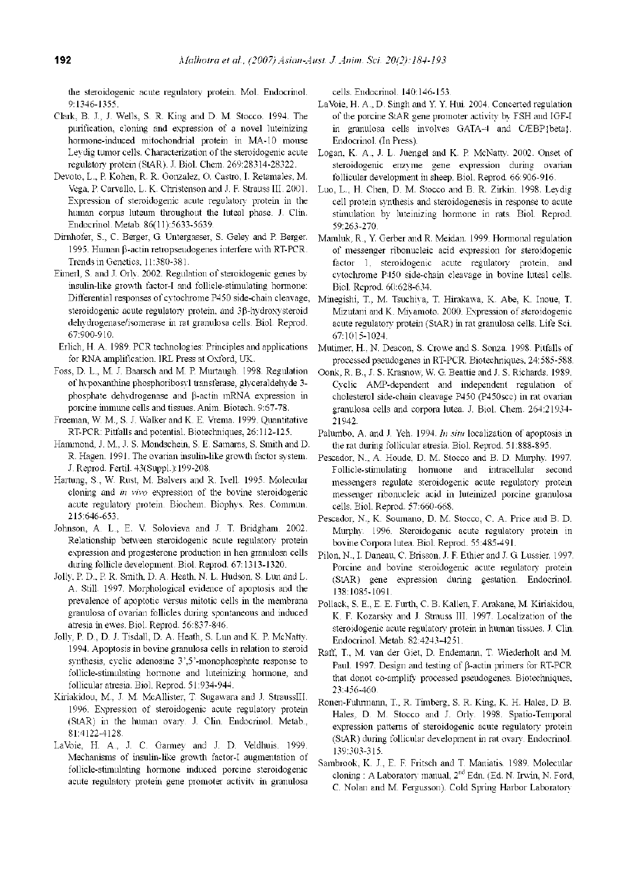the steroidogenic acute regulatory protein. Mol. Endocrinol. 9:1346-1355.

- Clark, B. J., J. Wells, S. R. King and D. M. Stocco. 1994. The purification, cloning and expression of a novel luteinizing hormone-induced mitochondrial protein in MA-10 mouse Leydig tumor cells. Characterization of the steroidogenic acute regulatory protein (StAR). J. Biol. Chem. 269:28314-28322.
- Devoto, L., P. Kohen, R. R. Gonzalez, O. Castro, I. Retamales, M. Vega, P. Carvallo, L. K. Christenson and J. F. Strauss III. 2001. Expression of steroidogenic acute regulatory protein in the human corpus luteum throughout the luteal phase. J. Clin. Endocrinol. Metab. 86(11):5633-5639.
- Dirnhofer, S., C. Berger, G. Untergasser, S. Geley and P. Berger. 1995. Human  $\beta$ -actin retropseudogenes interfere with RT-PCR. Trends in Genetics, 11:380-381.
- Eimerl, S. and J. Orly. 2002. Regulation of steroidogenic genes by insulin-like growth factor-I and follicle-stimulating hormone: Differential responses of cytochrome P450 side-chain cleavage, steroidogenic acute regulatory protein, and 3p-hydroxysteroid dehydrogenase/isomerase in rat granulosa cells. Biol. Reprod. 67:900-910.
- Erlich, H. A. 1989. PCR technologies: Principles and applications for RNA amplification. IRL Press at Oxford, UK.
- Foss, D. L., M. J. Baarsch and M. P. Murtaugh. 1998. Regulation of hypoxanthine phosphoribosyl transferase, glyceraldehyde 3 phosphate dehydrogenase and  $\beta$ -actin mRNA expression in porcine immune cells and tissues. Anim. Biotech. 9:67-78.
- Freeman, W. M., S. J. Walker and K. E. Vrema. 1999. Quantitative RT-PCR: Pitfalls and potential. Biotechniques, 26:112-125.
- Hammond, J. M., J. S. Mondschein, S. E. Samaras, S. Smith and D. R. Hagen. 1991. The ovarian insulin-like growth factor system. J. Reprod. Fertil. 43(Suppl.):199-208.
- Hartung, S., W. Rust, M. Balvers and R. Ivell. 1995. Molecular cloning and *in vivo* expression of the bovine steroidogenic acute regulatory protein. Biochem. Biophys. Res. Commun. 215:646-653.
- Johnson, A. L., E. V. Solovieva and J. T. Bridgham. 2002. Relationship between steroidogenic acute regulatory protein expression and progesterone production in hen granulosa cells during follicle development. Biol. Reprod. 67:1313-1320.
- Jolly, P. D., P. R. Smith, D. A. Heath, N. L. Hudson, S. Lun and L. A. Still. 1997. Morphological evidence of apoptosis and the prevalence of apoptotic versus mitotic cells in the membrana granulosa of ovarian follicles during spontaneous and induced atresia in ewes. Biol. Reprod. 56:837-846.
- Jolly, P. D., D. J. Tisdall, D. A. Heath, S. Lun and K. P. McNatty. 1994. Apoptosis in bovine granulosa cells in relation to steroid synthesis, cyclic adenosine 3',5'-monophosphate response to follicle-stimulating hormone and luteinizing hormone, and follicular atresia. Biol. Reprod. 51:934-944.
- Kiriakidou, M., J. M. McAllister, T. Sugawara and J. StraussIII. 1996. Expression of steroidogenic acute regulatory protein (StAR) in the human ovary. J. Clin. Endocrinol. Metab., 81:4122-4128.
- LaVoie, H. A., J. C. Garmey and J. D. Veldhuis. 1999. Mechanisms of insulin-like growth factor-I augmentation of follicle-stimulating hormone induced porcine steroidogenic acute regulatory protein gene promoter activity in granulosa

cells. Endocrinol. 140:146-153.

- LaVoie, H. A., D. Singh and Y. Y. Hui. 2004. Concerted regulation of the porcine StAR gene promoter activity by FSH and IGF-I in granulosa cells involves GATA-4 and C/EBP{beta}. Endocrinol. (In Press).
- Logan, K. A., J. L. Juengel and K. P. McNatty. 2002. Onset of steroidogenic enzyme gene expression during ovarian follicular development in sheep. Biol. Reprod. 66:906-916.
- Luo, L., H. Chen, D. M. Stocco and B. R. Zirkin. 1998. Leydig cell protein synthesis and steroidogenesis in response to acute stimulation by luteinizing hormone in rats. Biol. Reprod. 59:263-270.
- Mamluk, R., Y. Gerber and R. Meidan. 1999. Hormonal regulation of messenger ribonucleic acid expression for steroidogenic factor 1, steroidogenic acute regulatory protein, and cytochrome P450 side-chain cleavage in bovine luteal cells. Biol. Reprod. 60:628-634.
- Minegishi, T., M. Tsuchiya, T. Hirakawa, K. Abe, K. Inoue, T. Mizutani and K. Miyamoto. 2000. Expression of steroidogenic acute regulatory protein (StAR) in rat granulosa cells. Life Sci. 67:1015-1024.
- Mutimer, H., N. Deacon, S. Crowe and S. Sonza. 1998. Pitfalls of processed pseudogenes in RT-PCR. Biotechniques, 24:585-588.
- Oonk, R. B., J. S. Krasnow, W. G. Beattie and J. S. Richards. 1989. Cyclic AMP-dependent and independent regulation of cholesterol side-chain cleavage P450 (P450scc) in rat ovarian granulosa cells and corpora lutea. J. Biol. Chem. 264:21934 21942.
- Palumbo, A. and J. Yeh. 1994. *In situ* localization of apoptosis in the rat during follicular atresia. Biol. Reprod. 51:888-895.
- Pescador, N., A. Houde, D. M. Stocco and B. D. Murphy. 1997. Follicle-stimulating hormone and intracellular second messengers regulate steroidogenic acute regulatory protein messenger ribonucleic acid in luteinized porcine granulosa cells. Biol. Reprod. 57:660-668.
- Pescador, N., K. Soumano, D. M. Stocco, C. A. Price and B. D. Murphy. 1996. Steroidogenic acute regulatory protein in bovine Corpora lutea. Biol. Reprod. 55:485-491.
- Pilon, N., I. Daneau, C. Brisson, J. F. Ethier and J. G. Lussier. 1997. Porcine and bovine steroidogenic acute regulatory protein (StAR) gene expression during gestation. Endocrinol. 138:1085-1091.
- Pollack, S. E., E. E. Furth, C. B. Kallen, F. Arakane, M. Kiriakidou, K. F. Kozarsky and J. Strauss III. 1997. Localization of the steroidogenic acute regulatory protein in human tissues. J. Clin. Endocrinol. Metab. 82:4243-4251.
- Raff, T., M. van der Giet, D. Endemann, T. Wiederholt and M. Paul. 1997. Design and testing of  $\beta$ -actin primers for RT-PCR that donot co-amplify processed pseudogenes. Biotechniques, 23:456-460.
- Ronen-Fuhrmann, T., R. Timberg, S. R. King, K. H. Hales, D. B. Hales, D. M. Stocco and J. Orly. 1998. Spatio-Temporal expression patterns of steroidogenic acute regulatory protein (StAR) during follicular development in rat ovary. Endocrinol. 139:303-315.
- Sambrook, K. J., E. F. Fritsch and T. Maniatis. 1989. Molecular cloning : A Laboratory manual,  $2<sup>nd</sup>$  Edn. (Ed. N. Irwin, N. Ford, C. Nolan and M. Fergusson). Cold Spring Harbor Laboratory